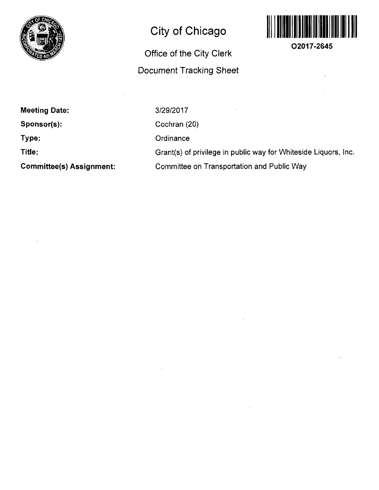

## **City of Chicago**

## **Office of the City Clerk Document Tracking Sheet**



**O2017-2645** 

**Meeting Date:** 

**Sponsor(s):** 

**Type:** 

**Title:** 

**Committee(s) Assignment:** 

3/29/2017 Cochran (20) **Ordinance** Grant(s) of privilege in public way for Whiteside Liquors, Inc. Committee on Transportation and Public Way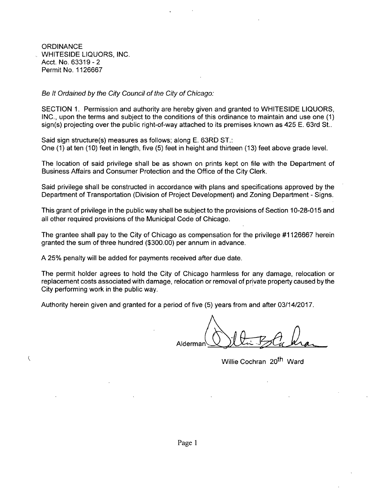**ORDINANCE** WHITESIDE LIQUORS, INC. Acct. No. 63319-2 Permit No. 1126667

 $\left($ 

## Be It Ordained by the City Council of the City of Chicago:

SECTION 1. Permission and authority are hereby given and granted to WHITESIDE LIQUORS, INC., upon the terms and subject to the conditions of this ordinance to maintain and use one (1) sign(s) projecting over the public right-of-way attached to its premises known as 425 E. 63rd St..

Said sign structure(s) measures as follows; along E. 63RD ST.: One (1) at ten (10) feet in length, five (5) feet in height and thirteen (13) feet above grade level.

The location of said privilege shall be as shown on prints kept on file with the Department of Business Affairs and Consumer Protection and the Office of the City Clerk.

Said privilege shall be constructed in accordance with plans and specifications approved by the Department of Transportation (Division of Project Development) and Zoning Department - Signs.

This grant of privilege in the public way shall be subject to the provisions of Section 10-28-015 and all other required provisions of the Municipal Code of Chicago.

The grantee shall pay to the City of Chicago as compensation for the privilege #1126667 herein granted the sum of three hundred (\$300.00) per annum in advance.

A 25% penalty will be added for payments received after due date.

The permit holder agrees to hold the City of Chicago harmless for any damage, relocation or replacement costs associated with damage, relocation or removal of private property caused bythe City performing work in the public way.

Authority herein given and granted for a period of five (5) years from and after 03/14/2017.

Alderman^

Willie Cochran 20<sup>th</sup> Ward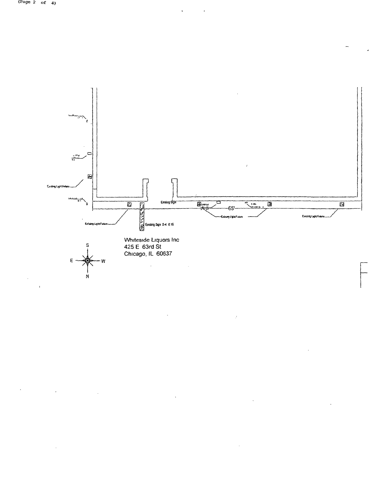

 $\ddot{\phantom{1}}$